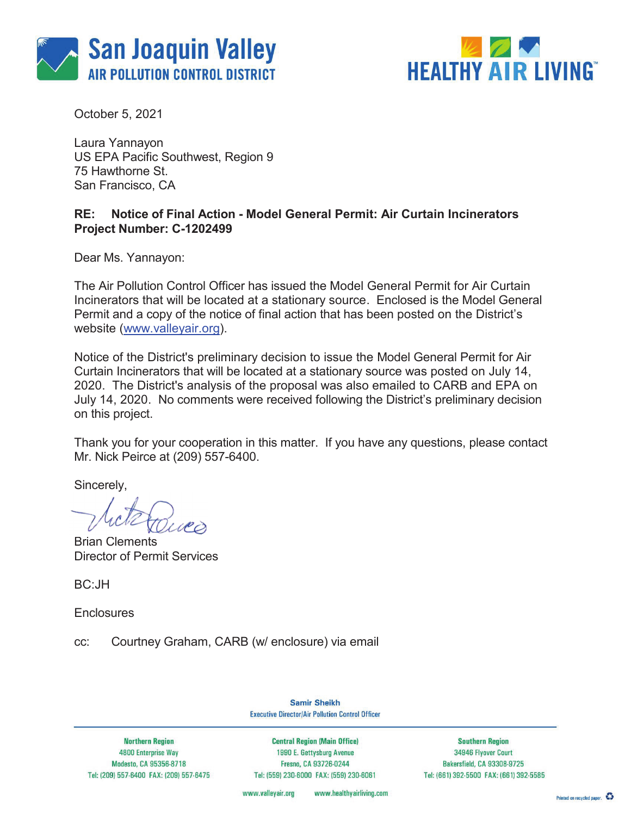



October 5, 2021

Laura Yannayon US EPA Pacific Southwest, Region 9 75 Hawthorne St. San Francisco, CA

## **RE: Notice of Final Action - Model General Permit: Air Curtain Incinerators Project Number: C-1202499**

Dear Ms. Yannayon:

The Air Pollution Control Officer has issued the Model General Permit for Air Curtain Incinerators that will be located at a stationary source. Enclosed is the Model General Permit and a copy of the notice of final action that has been posted on the District's website (www.valleyair.org).

Notice of the District's preliminary decision to issue the Model General Permit for Air Curtain Incinerators that will be located at a stationary source was posted on July 14, 2020. The District's analysis of the proposal was also emailed to CARB and EPA on July 14, 2020. No comments were received following the District's preliminary decision on this project.

Thank you for your cooperation in this matter. If you have any questions, please contact Mr. Nick Peirce at (209) 557-6400.

Sincerely,

**Brian Clements** Director of Permit Services

BC:JH

**Enclosures** 

cc: Courtney Graham, CARB (w/ enclosure) via email

**Samir Sheikh Executive Director/Air Pollution Control Officer** 

**Northern Region 4800 Enterprise Way** Modesto, CA 95356-8718 Tel: (209) 557-6400 FAX: (209) 557-6475

**Central Region (Main Office)** 1990 E. Gettysburg Avenue Fresno, CA 93726-0244 Tel: (559) 230-6000 FAX: (559) 230-6061

**Southern Region** 34946 Flyover Court Bakersfield, CA 93308-9725 Tel: (661) 392-5500 FAX: (661) 392-5585

www.healthyairliving.com www.valleyair.org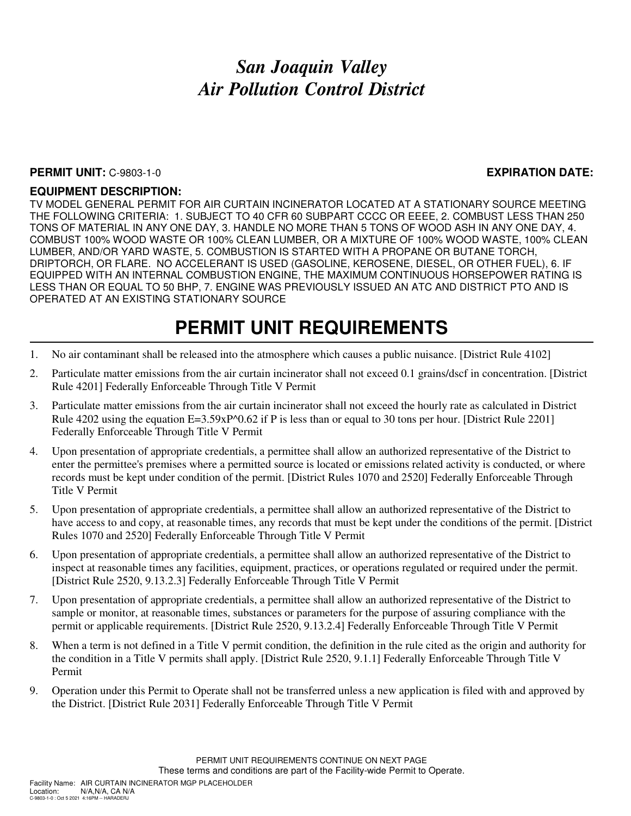## *San Joaquin Valley Air Pollution Control District*

#### **PERMIT UNIT:** C-9803-1-0 **EXPIRATION DATE:**

### **EQUIPMENT DESCRIPTION:**

TV MODEL GENERAL PERMIT FOR AIR CURTAIN INCINERATOR LOCATED AT A STATIONARY SOURCE MEETING THE FOLLOWING CRITERIA: 1. SUBJECT TO 40 CFR 60 SUBPART CCCC OR EEEE, 2. COMBUST LESS THAN 250 TONS OF MATERIAL IN ANY ONE DAY, 3. HANDLE NO MORE THAN 5 TONS OF WOOD ASH IN ANY ONE DAY, 4. COMBUST 100% WOOD WASTE OR 100% CLEAN LUMBER, OR A MIXTURE OF 100% WOOD WASTE, 100% CLEAN LUMBER, AND/OR YARD WASTE, 5. COMBUSTION IS STARTED WITH A PROPANE OR BUTANE TORCH, DRIPTORCH, OR FLARE. NO ACCELERANT IS USED (GASOLINE, KEROSENE, DIESEL, OR OTHER FUEL), 6. IF EQUIPPED WITH AN INTERNAL COMBUSTION ENGINE, THE MAXIMUM CONTINUOUS HORSEPOWER RATING IS LESS THAN OR EQUAL TO 50 BHP, 7. ENGINE WAS PREVIOUSLY ISSUED AN ATC AND DISTRICT PTO AND IS OPERATED AT AN EXISTING STATIONARY SOURCE

# **PERMIT UNIT REQUIREMENTS**

- 1. No air contaminant shall be released into the atmosphere which causes a public nuisance. [District Rule 4102]
- 2. Particulate matter emissions from the air curtain incinerator shall not exceed 0.1 grains/dscf in concentration. [District Rule 4201] Federally Enforceable Through Title V Permit
- 3. Particulate matter emissions from the air curtain incinerator shall not exceed the hourly rate as calculated in District Rule 4202 using the equation  $E=3.59xP^00.62$  if P is less than or equal to 30 tons per hour. [District Rule 2201] Federally Enforceable Through Title V Permit
- 4. Upon presentation of appropriate credentials, a permittee shall allow an authorized representative of the District to enter the permittee's premises where a permitted source is located or emissions related activity is conducted, or where records must be kept under condition of the permit. [District Rules 1070 and 2520] Federally Enforceable Through Title V Permit
- 5. Upon presentation of appropriate credentials, a permittee shall allow an authorized representative of the District to have access to and copy, at reasonable times, any records that must be kept under the conditions of the permit. [District Rules 1070 and 2520] Federally Enforceable Through Title V Permit
- 6. Upon presentation of appropriate credentials, a permittee shall allow an authorized representative of the District to inspect at reasonable times any facilities, equipment, practices, or operations regulated or required under the permit. [District Rule 2520, 9.13.2.3] Federally Enforceable Through Title V Permit
- 7. Upon presentation of appropriate credentials, a permittee shall allow an authorized representative of the District to sample or monitor, at reasonable times, substances or parameters for the purpose of assuring compliance with the permit or applicable requirements. [District Rule 2520, 9.13.2.4] Federally Enforceable Through Title V Permit
- 8. When a term is not defined in a Title V permit condition, the definition in the rule cited as the origin and authority for the condition in a Title V permits shall apply. [District Rule 2520, 9.1.1] Federally Enforceable Through Title V Permit
- 9. Operation under this Permit to Operate shall not be transferred unless a new application is filed with and approved by the District. [District Rule 2031] Federally Enforceable Through Title V Permit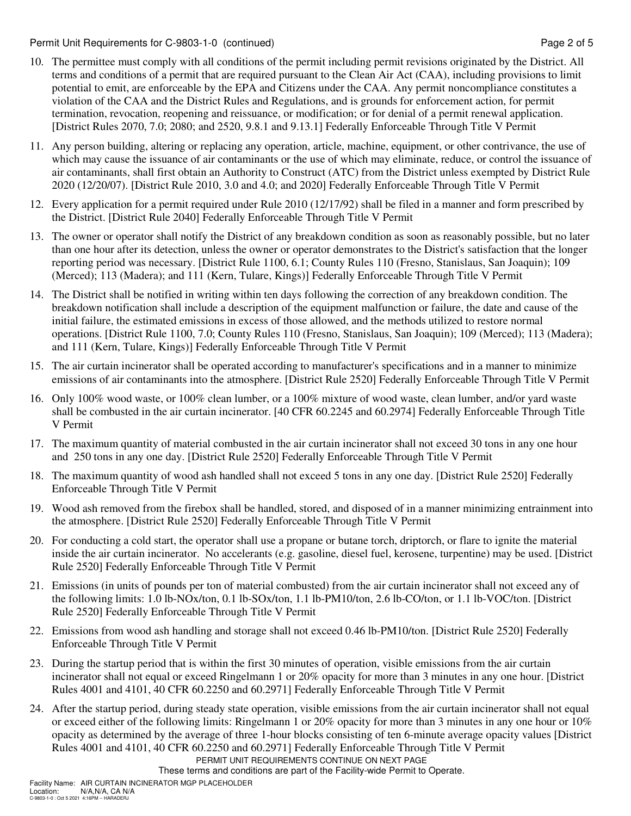Permit Unit Requirements for C-9803-1-0 (continued) **Page 2** of 5

- 10. The permittee must comply with all conditions of the permit including permit revisions originated by the District. All terms and conditions of a permit that are required pursuant to the Clean Air Act (CAA), including provisions to limit potential to emit, are enforceable by the EPA and Citizens under the CAA. Any permit noncompliance constitutes a violation of the CAA and the District Rules and Regulations, and is grounds for enforcement action, for permit termination, revocation, reopening and reissuance, or modification; or for denial of a permit renewal application. [District Rules 2070, 7.0; 2080; and 2520, 9.8.1 and 9.13.1] Federally Enforceable Through Title V Permit
- 11. Any person building, altering or replacing any operation, article, machine, equipment, or other contrivance, the use of which may cause the issuance of air contaminants or the use of which may eliminate, reduce, or control the issuance of air contaminants, shall first obtain an Authority to Construct (ATC) from the District unless exempted by District Rule 2020 (12/20/07). [District Rule 2010, 3.0 and 4.0; and 2020] Federally Enforceable Through Title V Permit
- 12. Every application for a permit required under Rule 2010 (12/17/92) shall be filed in a manner and form prescribed by the District. [District Rule 2040] Federally Enforceable Through Title V Permit
- 13. The owner or operator shall notify the District of any breakdown condition as soon as reasonably possible, but no later than one hour after its detection, unless the owner or operator demonstrates to the District's satisfaction that the longer reporting period was necessary. [District Rule 1100, 6.1; County Rules 110 (Fresno, Stanislaus, San Joaquin); 109 (Merced); 113 (Madera); and 111 (Kern, Tulare, Kings)] Federally Enforceable Through Title V Permit
- 14. The District shall be notified in writing within ten days following the correction of any breakdown condition. The breakdown notification shall include a description of the equipment malfunction or failure, the date and cause of the initial failure, the estimated emissions in excess of those allowed, and the methods utilized to restore normal operations. [District Rule 1100, 7.0; County Rules 110 (Fresno, Stanislaus, San Joaquin); 109 (Merced); 113 (Madera); and 111 (Kern, Tulare, Kings)] Federally Enforceable Through Title V Permit
- 15. The air curtain incinerator shall be operated according to manufacturer's specifications and in a manner to minimize emissions of air contaminants into the atmosphere. [District Rule 2520] Federally Enforceable Through Title V Permit
- 16. Only 100% wood waste, or 100% clean lumber, or a 100% mixture of wood waste, clean lumber, and/or yard waste shall be combusted in the air curtain incinerator. [40 CFR 60.2245 and 60.2974] Federally Enforceable Through Title V Permit
- 17. The maximum quantity of material combusted in the air curtain incinerator shall not exceed 30 tons in any one hour and 250 tons in any one day. [District Rule 2520] Federally Enforceable Through Title V Permit
- 18. The maximum quantity of wood ash handled shall not exceed 5 tons in any one day. [District Rule 2520] Federally Enforceable Through Title V Permit
- 19. Wood ash removed from the firebox shall be handled, stored, and disposed of in a manner minimizing entrainment into the atmosphere. [District Rule 2520] Federally Enforceable Through Title V Permit
- 20. For conducting a cold start, the operator shall use a propane or butane torch, driptorch, or flare to ignite the material inside the air curtain incinerator. No accelerants (e.g. gasoline, diesel fuel, kerosene, turpentine) may be used. [District Rule 2520] Federally Enforceable Through Title V Permit
- 21. Emissions (in units of pounds per ton of material combusted) from the air curtain incinerator shall not exceed any of the following limits: 1.0 lb-NOx/ton, 0.1 lb-SOx/ton, 1.1 lb-PM10/ton, 2.6 lb-CO/ton, or 1.1 lb-VOC/ton. [District Rule 2520] Federally Enforceable Through Title V Permit
- 22. Emissions from wood ash handling and storage shall not exceed 0.46 lb-PM10/ton. [District Rule 2520] Federally Enforceable Through Title V Permit
- 23. During the startup period that is within the first 30 minutes of operation, visible emissions from the air curtain incinerator shall not equal or exceed Ringelmann 1 or 20% opacity for more than 3 minutes in any one hour. [District Rules 4001 and 4101, 40 CFR 60.2250 and 60.2971] Federally Enforceable Through Title V Permit
- 24. After the startup period, during steady state operation, visible emissions from the air curtain incinerator shall not equal or exceed either of the following limits: Ringelmann 1 or 20% opacity for more than 3 minutes in any one hour or 10% opacity as determined by the average of three 1-hour blocks consisting of ten 6-minute average opacity values [District Rules 4001 and 4101, 40 CFR 60.2250 and 60.2971] Federally Enforceable Through Title V Permit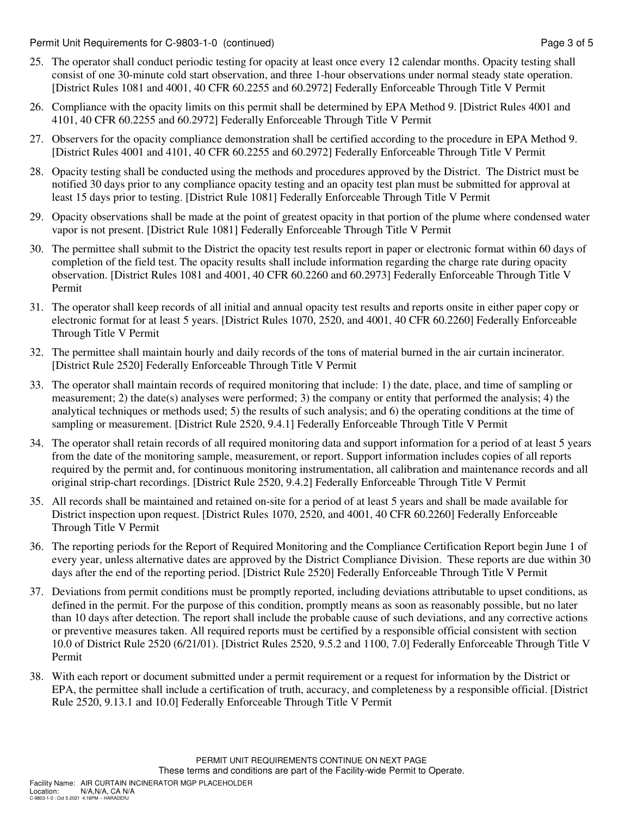Permit Unit Requirements for C-9803-1-0 (continued) **Page 3 of 5** and 2 of 5

- 25. The operator shall conduct periodic testing for opacity at least once every 12 calendar months. Opacity testing shall consist of one 30-minute cold start observation, and three 1-hour observations under normal steady state operation. [District Rules 1081 and 4001, 40 CFR 60.2255 and 60.2972] Federally Enforceable Through Title V Permit
- 26. Compliance with the opacity limits on this permit shall be determined by EPA Method 9. [District Rules 4001 and 4101, 40 CFR 60.2255 and 60.2972] Federally Enforceable Through Title V Permit
- 27. Observers for the opacity compliance demonstration shall be certified according to the procedure in EPA Method 9. [District Rules 4001 and 4101, 40 CFR 60.2255 and 60.2972] Federally Enforceable Through Title V Permit
- 28. Opacity testing shall be conducted using the methods and procedures approved by the District. The District must be notified 30 days prior to any compliance opacity testing and an opacity test plan must be submitted for approval at least 15 days prior to testing. [District Rule 1081] Federally Enforceable Through Title V Permit
- 29. Opacity observations shall be made at the point of greatest opacity in that portion of the plume where condensed water vapor is not present. [District Rule 1081] Federally Enforceable Through Title V Permit
- 30. The permittee shall submit to the District the opacity test results report in paper or electronic format within 60 days of completion of the field test. The opacity results shall include information regarding the charge rate during opacity observation. [District Rules 1081 and 4001, 40 CFR 60.2260 and 60.2973] Federally Enforceable Through Title V Permit
- 31. The operator shall keep records of all initial and annual opacity test results and reports onsite in either paper copy or electronic format for at least 5 years. [District Rules 1070, 2520, and 4001, 40 CFR 60.2260] Federally Enforceable Through Title V Permit
- 32. The permittee shall maintain hourly and daily records of the tons of material burned in the air curtain incinerator. [District Rule 2520] Federally Enforceable Through Title V Permit
- 33. The operator shall maintain records of required monitoring that include: 1) the date, place, and time of sampling or measurement; 2) the date(s) analyses were performed; 3) the company or entity that performed the analysis; 4) the analytical techniques or methods used; 5) the results of such analysis; and 6) the operating conditions at the time of sampling or measurement. [District Rule 2520, 9.4.1] Federally Enforceable Through Title V Permit
- 34. The operator shall retain records of all required monitoring data and support information for a period of at least 5 years from the date of the monitoring sample, measurement, or report. Support information includes copies of all reports required by the permit and, for continuous monitoring instrumentation, all calibration and maintenance records and all original strip-chart recordings. [District Rule 2520, 9.4.2] Federally Enforceable Through Title V Permit
- 35. All records shall be maintained and retained on-site for a period of at least 5 years and shall be made available for District inspection upon request. [District Rules 1070, 2520, and 4001, 40 CFR 60.2260] Federally Enforceable Through Title V Permit
- 36. The reporting periods for the Report of Required Monitoring and the Compliance Certification Report begin June 1 of every year, unless alternative dates are approved by the District Compliance Division. These reports are due within 30 days after the end of the reporting period. [District Rule 2520] Federally Enforceable Through Title V Permit
- 37. Deviations from permit conditions must be promptly reported, including deviations attributable to upset conditions, as defined in the permit. For the purpose of this condition, promptly means as soon as reasonably possible, but no later than 10 days after detection. The report shall include the probable cause of such deviations, and any corrective actions or preventive measures taken. All required reports must be certified by a responsible official consistent with section 10.0 of District Rule 2520 (6/21/01). [District Rules 2520, 9.5.2 and 1100, 7.0] Federally Enforceable Through Title V Permit
- 38. With each report or document submitted under a permit requirement or a request for information by the District or EPA, the permittee shall include a certification of truth, accuracy, and completeness by a responsible official. [District Rule 2520, 9.13.1 and 10.0] Federally Enforceable Through Title V Permit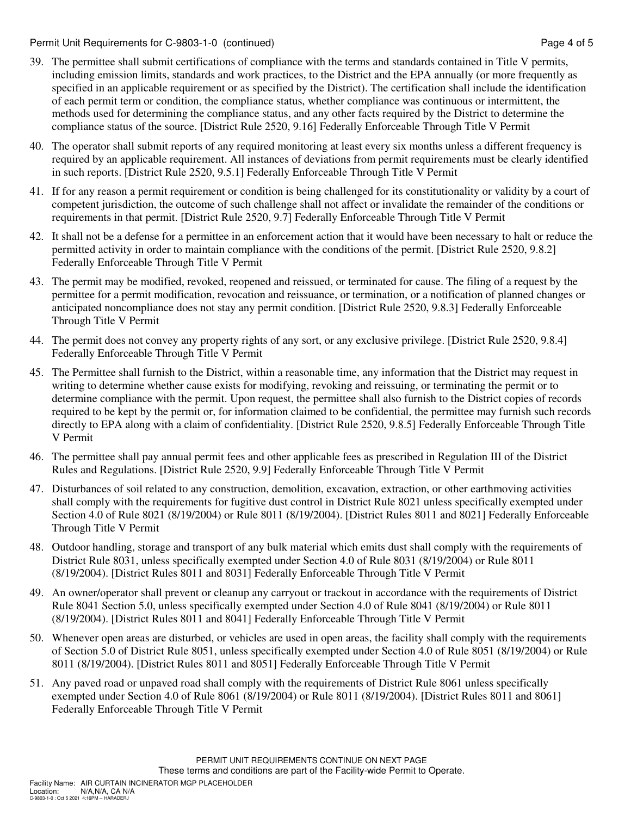Permit Unit Requirements for C-9803-1-0 (continued) Page 4 of 5

- 39. The permittee shall submit certifications of compliance with the terms and standards contained in Title V permits, including emission limits, standards and work practices, to the District and the EPA annually (or more frequently as specified in an applicable requirement or as specified by the District). The certification shall include the identification of each permit term or condition, the compliance status, whether compliance was continuous or intermittent, the methods used for determining the compliance status, and any other facts required by the District to determine the compliance status of the source. [District Rule 2520, 9.16] Federally Enforceable Through Title V Permit
- 40. The operator shall submit reports of any required monitoring at least every six months unless a different frequency is required by an applicable requirement. All instances of deviations from permit requirements must be clearly identified in such reports. [District Rule 2520, 9.5.1] Federally Enforceable Through Title V Permit
- 41. If for any reason a permit requirement or condition is being challenged for its constitutionality or validity by a court of competent jurisdiction, the outcome of such challenge shall not affect or invalidate the remainder of the conditions or requirements in that permit. [District Rule 2520, 9.7] Federally Enforceable Through Title V Permit
- 42. It shall not be a defense for a permittee in an enforcement action that it would have been necessary to halt or reduce the permitted activity in order to maintain compliance with the conditions of the permit. [District Rule 2520, 9.8.2] Federally Enforceable Through Title V Permit
- 43. The permit may be modified, revoked, reopened and reissued, or terminated for cause. The filing of a request by the permittee for a permit modification, revocation and reissuance, or termination, or a notification of planned changes or anticipated noncompliance does not stay any permit condition. [District Rule 2520, 9.8.3] Federally Enforceable Through Title V Permit
- 44. The permit does not convey any property rights of any sort, or any exclusive privilege. [District Rule 2520, 9.8.4] Federally Enforceable Through Title V Permit
- 45. The Permittee shall furnish to the District, within a reasonable time, any information that the District may request in writing to determine whether cause exists for modifying, revoking and reissuing, or terminating the permit or to determine compliance with the permit. Upon request, the permittee shall also furnish to the District copies of records required to be kept by the permit or, for information claimed to be confidential, the permittee may furnish such records directly to EPA along with a claim of confidentiality. [District Rule 2520, 9.8.5] Federally Enforceable Through Title V Permit
- 46. The permittee shall pay annual permit fees and other applicable fees as prescribed in Regulation III of the District Rules and Regulations. [District Rule 2520, 9.9] Federally Enforceable Through Title V Permit
- 47. Disturbances of soil related to any construction, demolition, excavation, extraction, or other earthmoving activities shall comply with the requirements for fugitive dust control in District Rule 8021 unless specifically exempted under Section 4.0 of Rule 8021 (8/19/2004) or Rule 8011 (8/19/2004). [District Rules 8011 and 8021] Federally Enforceable Through Title V Permit
- 48. Outdoor handling, storage and transport of any bulk material which emits dust shall comply with the requirements of District Rule 8031, unless specifically exempted under Section 4.0 of Rule 8031 (8/19/2004) or Rule 8011 (8/19/2004). [District Rules 8011 and 8031] Federally Enforceable Through Title V Permit
- 49. An owner/operator shall prevent or cleanup any carryout or trackout in accordance with the requirements of District Rule 8041 Section 5.0, unless specifically exempted under Section 4.0 of Rule 8041 (8/19/2004) or Rule 8011 (8/19/2004). [District Rules 8011 and 8041] Federally Enforceable Through Title V Permit
- 50. Whenever open areas are disturbed, or vehicles are used in open areas, the facility shall comply with the requirements of Section 5.0 of District Rule 8051, unless specifically exempted under Section 4.0 of Rule 8051 (8/19/2004) or Rule 8011 (8/19/2004). [District Rules 8011 and 8051] Federally Enforceable Through Title V Permit
- 51. Any paved road or unpaved road shall comply with the requirements of District Rule 8061 unless specifically exempted under Section 4.0 of Rule 8061 (8/19/2004) or Rule 8011 (8/19/2004). [District Rules 8011 and 8061] Federally Enforceable Through Title V Permit